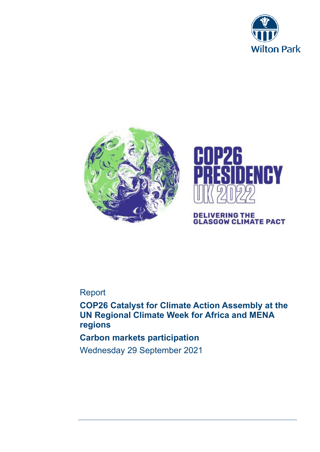





**DELIVERING THE<br>GLASGOW CLIMATE PACT** 

# Report

**COP26 Catalyst for Climate Action Assembly at the UN Regional Climate Week for Africa and MENA regions**

## **Carbon markets participation**

Wednesday 29 September 2021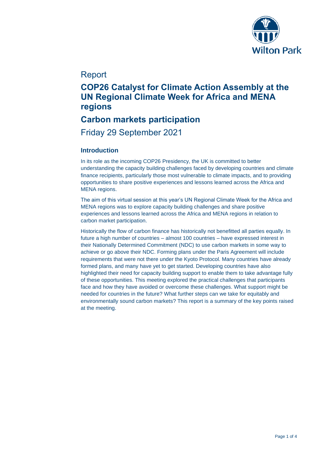

## Report

# **COP26 Catalyst for Climate Action Assembly at the UN Regional Climate Week for Africa and MENA regions**

## **Carbon markets participation**

Friday 29 September 2021

### **Introduction**

In its role as the incoming COP26 Presidency, the UK is committed to better understanding the capacity building challenges faced by developing countries and climate finance recipients, particularly those most vulnerable to climate impacts, and to providing opportunities to share positive experiences and lessons learned across the Africa and MENA regions.

The aim of this virtual session at this year's UN Regional Climate Week for the Africa and MENA regions was to explore capacity building challenges and share positive experiences and lessons learned across the Africa and MENA regions in relation to carbon market participation.

Historically the flow of carbon finance has historically not benefitted all parties equally. In future a high number of countries – almost 100 countries – have expressed interest in their Nationally Determined Commitment (NDC) to use carbon markets in some way to achieve or go above their NDC. Forming plans under the Paris Agreement will include requirements that were not there under the Kyoto Protocol. Many countries have already formed plans, and many have yet to get started. Developing countries have also highlighted their need for capacity building support to enable them to take advantage fully of these opportunities. This meeting explored the practical challenges that participants face and how they have avoided or overcome these challenges. What support might be needed for countries in the future? What further steps can we take for equitably and environmentally sound carbon markets? This report is a summary of the key points raised at the meeting.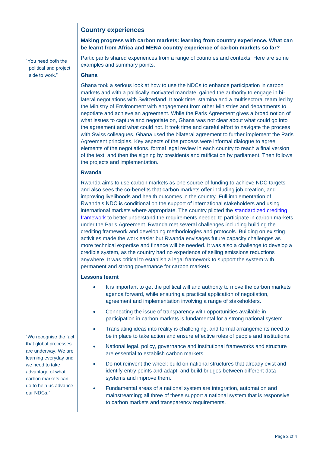### **Country experiences**

#### **Making progress with carbon markets: learning from country experience. What can be learnt from Africa and MENA country experience of carbon markets so far?**

Participants shared experiences from a range of countries and contexts. Here are some examples and summary points.

#### **Ghana**

"You need both the political and project side to work."

> Ghana took a serious look at how to use the NDCs to enhance participation in carbon markets and with a politically motivated mandate, gained the authority to engage in bilateral negotiations with Switzerland. It took time, stamina and a multisectoral team led by the Ministry of Environment with engagement from other Ministries and departments to negotiate and achieve an agreement. While the Paris Agreement gives a broad notion of what issues to capture and negotiate on, Ghana was not clear about what could go into the agreement and what could not. It took time and careful effort to navigate the process with Swiss colleagues. Ghana used the bilateral agreement to further implement the Paris Agreement principles. Key aspects of the process were informal dialogue to agree elements of the negotiations, formal legal review in each country to reach a final version of the text, and then the signing by presidents and ratification by parliament. Then follows the projects and implementation.

#### **Rwanda**

Rwanda aims to use carbon markets as one source of funding to achieve NDC targets and also sees the co-benefits that carbon markets offer including job creation, and improving livelihoods and health outcomes in the country. Full implementation of Rwanda's NDC is conditional on the support of international stakeholders and using international markets where appropriate. The country piloted the [standardized crediting](https://www.ci-dev.org/standardized-crediting-framework)  [framework](https://www.ci-dev.org/standardized-crediting-framework) to better understand the requirements needed to participate in carbon markets under the Paris Agreement. Rwanda met several challenges including building the crediting framework and developing methodologies and protocols. Building on existing activities made the work easier but Rwanda envisages future capacity challenges as more technical expertise and finance will be needed. It was also a challenge to develop a credible system, as the country had no experience of selling emissions reductions anywhere. It was critical to establish a legal framework to support the system with permanent and strong governance for carbon markets.

#### **Lessons learnt**

- It is important to get the political will and authority to move the carbon markets agenda forward, while ensuring a practical application of negotiation, agreement and implementation involving a range of stakeholders.
- Connecting the issue of transparency with opportunities available in participation in carbon markets is fundamental for a strong national system.
- Translating ideas into reality is challenging, and formal arrangements need to be in place to take action and ensure effective roles of people and institutions.
- National legal, policy, governance and institutional frameworks and structure are essential to establish carbon markets.
- Do not reinvent the wheel; build on national structures that already exist and identify entry points and adapt, and build bridges between different data systems and improve them.
- Fundamental areas of a national system are integration, automation and mainstreaming; all three of these support a national system that is responsive to carbon markets and transparency requirements.

"We recognise the fact that global processes are underway. We are learning everyday and we need to take advantage of what carbon markets can do to help us advance our NDCs."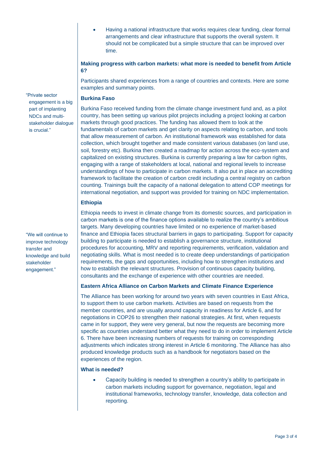• Having a national infrastructure that works requires clear funding, clear formal arrangements and clear infrastructure that supports the overall system. It should not be complicated but a simple structure that can be improved over time.

#### **Making progress with carbon markets: what more is needed to benefit from Article 6?**

Participants shared experiences from a range of countries and contexts. Here are some examples and summary points.

#### **Burkina Faso**

Burkina Faso received funding from the climate change investment fund and, as a pilot country, has been setting up various pilot projects including a project looking at carbon markets through good practices. The funding has allowed them to look at the fundamentals of carbon markets and get clarity on aspects relating to carbon, and tools that allow measurement of carbon. An institutional framework was established for data collection, which brought together and made consistent various databases (on land use, soil, forestry etc). Burkina then created a roadmap for action across the eco-system and capitalized on existing structures. Burkina is currently preparing a law for carbon rights, engaging with a range of stakeholders at local, national and regional levels to increase understandings of how to participate in carbon markets. It also put in place an accrediting framework to facilitate the creation of carbon credit including a central registry on carbon counting. Trainings built the capacity of a national delegation to attend COP meetings for international negotiation, and support was provided for training on NDC implementation.

### **Ethiopia**

Ethiopia needs to invest in climate change from its domestic sources, and participation in carbon markets is one of the finance options available to realize the country's ambitious targets. Many developing countries have limited or no experience of market-based finance and Ethiopia faces structural barriers in gaps to participating. Support for capacity building to participate is needed to establish a governance structure, institutional procedures for accounting, MRV and reporting requirements, verification, validation and negotiating skills. What is most needed is to create deep understandings of participation requirements, the gaps and opportunities, including how to strengthen institutions and how to establish the relevant structures. Provision of continuous capacity building, consultants and the exchange of experience with other countries are needed.

#### **Eastern Africa Alliance on Carbon Markets and Climate Finance Experience**

The Alliance has been working for around two years with seven countries in East Africa, to support them to use carbon markets. Activities are based on requests from the member countries, and are usually around capacity in readiness for Article 6, and for negotiations in COP26 to strengthen their national strategies. At first, when requests came in for support, they were very general, but now the requests are becoming more specific as countries understand better what they need to do in order to implement Article 6. There have been increasing numbers of requests for training on corresponding adjustments which indicates strong interest in Article 6 monitoring. The Alliance has also produced knowledge products such as a handbook for negotiators based on the experiences of the region.

#### **What is needed?**

• Capacity building is needed to strengthen a country's ability to participate in carbon markets including support for governance, negotiation, legal and institutional frameworks, technology transfer, knowledge, data collection and reporting.

"Private sector engagement is a big part of implanting NDCs and multistakeholder dialogue is crucial."

"We will continue to improve technology transfer and knowledge and build stakeholder engagement."